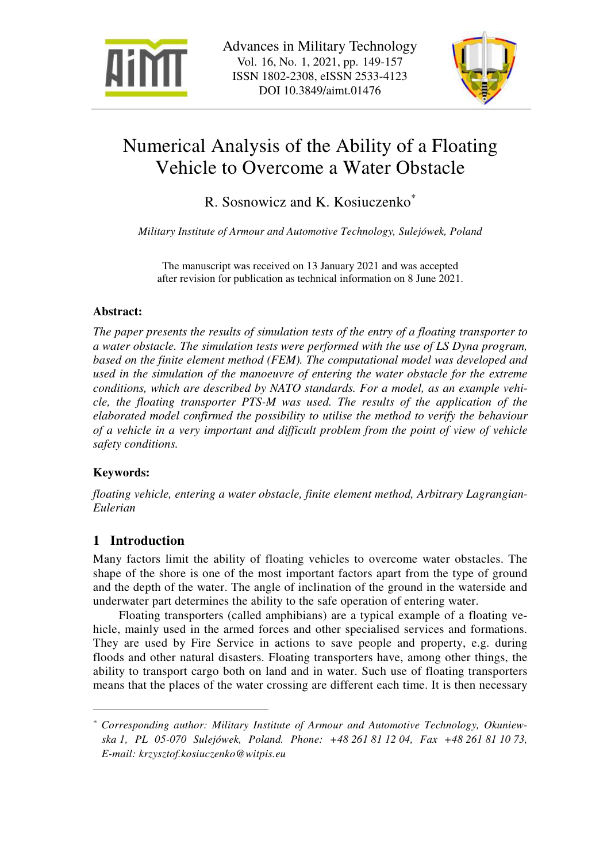



# Numerical Analysis of the Ability of a Floating Vehicle to Overcome a Water Obstacle

R. Sosnowicz and K. Kosiuczenko\*

*Military Institute of Armour and Automotive Technology, Sulejówek, Poland* 

The manuscript was received on 13 January 2021 and was accepted after revision for publication as technical information on 8 June 2021.

#### **Abstract:**

*The paper presents the results of simulation tests of the entry of a floating transporter to a water obstacle. The simulation tests were performed with the use of LS Dyna program,*  based on the finite element method (FEM). The computational model was developed and *used in the simulation of the manoeuvre of entering the water obstacle for the extreme conditions, which are described by NATO standards. For a model, as an example vehicle, the floating transporter PTS-M was used. The results of the application of the elaborated model confirmed the possibility to utilise the method to verify the behaviour of a vehicle in a very important and difficult problem from the point of view of vehicle safety conditions.* 

### **Keywords:**

 $\overline{a}$ 

*floating vehicle, entering a water obstacle, finite element method, Arbitrary Lagrangian-Eulerian* 

# **1 Introduction**

Many factors limit the ability of floating vehicles to overcome water obstacles. The shape of the shore is one of the most important factors apart from the type of ground and the depth of the water. The angle of inclination of the ground in the waterside and underwater part determines the ability to the safe operation of entering water.

Floating transporters (called amphibians) are a typical example of a floating vehicle, mainly used in the armed forces and other specialised services and formations. They are used by Fire Service in actions to save people and property, e.g. during floods and other natural disasters. Floating transporters have, among other things, the ability to transport cargo both on land and in water. Such use of floating transporters means that the places of the water crossing are different each time. It is then necessary

*<sup>\*</sup> Corresponding author: Military Institute of Armour and Automotive Technology, Okuniewska 1, PL 05-070 Sulejówek, Poland. Phone: +48 261 81 12 04, Fax +48 261 81 10 73, E-mail: krzysztof.kosiuczenko@witpis.eu*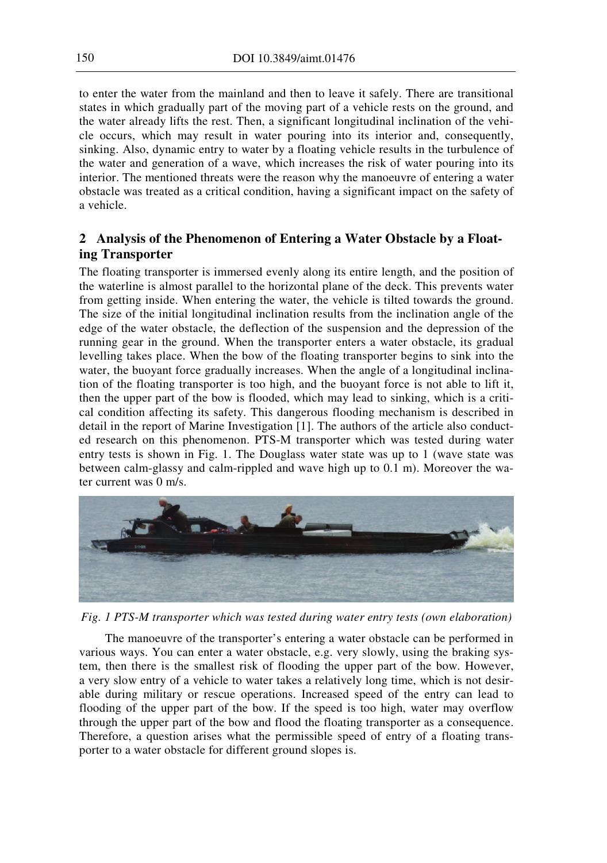to enter the water from the mainland and then to leave it safely. There are transitional states in which gradually part of the moving part of a vehicle rests on the ground, and the water already lifts the rest. Then, a significant longitudinal inclination of the vehicle occurs, which may result in water pouring into its interior and, consequently, sinking. Also, dynamic entry to water by a floating vehicle results in the turbulence of the water and generation of a wave, which increases the risk of water pouring into its interior. The mentioned threats were the reason why the manoeuvre of entering a water obstacle was treated as a critical condition, having a significant impact on the safety of a vehicle.

## **2 Analysis of the Phenomenon of Entering a Water Obstacle by a Floating Transporter**

The floating transporter is immersed evenly along its entire length, and the position of the waterline is almost parallel to the horizontal plane of the deck. This prevents water from getting inside. When entering the water, the vehicle is tilted towards the ground. The size of the initial longitudinal inclination results from the inclination angle of the edge of the water obstacle, the deflection of the suspension and the depression of the running gear in the ground. When the transporter enters a water obstacle, its gradual levelling takes place. When the bow of the floating transporter begins to sink into the water, the buoyant force gradually increases. When the angle of a longitudinal inclination of the floating transporter is too high, and the buoyant force is not able to lift it, then the upper part of the bow is flooded, which may lead to sinking, which is a critical condition affecting its safety. This dangerous flooding mechanism is described in detail in the report of Marine Investigation [1]. The authors of the article also conducted research on this phenomenon. PTS-M transporter which was tested during water entry tests is shown in Fig. 1. The Douglass water state was up to 1 (wave state was between calm-glassy and calm-rippled and wave high up to 0.1 m). Moreover the water current was 0 m/s.



*Fig. 1 PTS-M transporter which was tested during water entry tests (own elaboration)*

The manoeuvre of the transporter's entering a water obstacle can be performed in various ways. You can enter a water obstacle, e.g. very slowly, using the braking system, then there is the smallest risk of flooding the upper part of the bow. However, a very slow entry of a vehicle to water takes a relatively long time, which is not desirable during military or rescue operations. Increased speed of the entry can lead to flooding of the upper part of the bow. If the speed is too high, water may overflow through the upper part of the bow and flood the floating transporter as a consequence. Therefore, a question arises what the permissible speed of entry of a floating transporter to a water obstacle for different ground slopes is.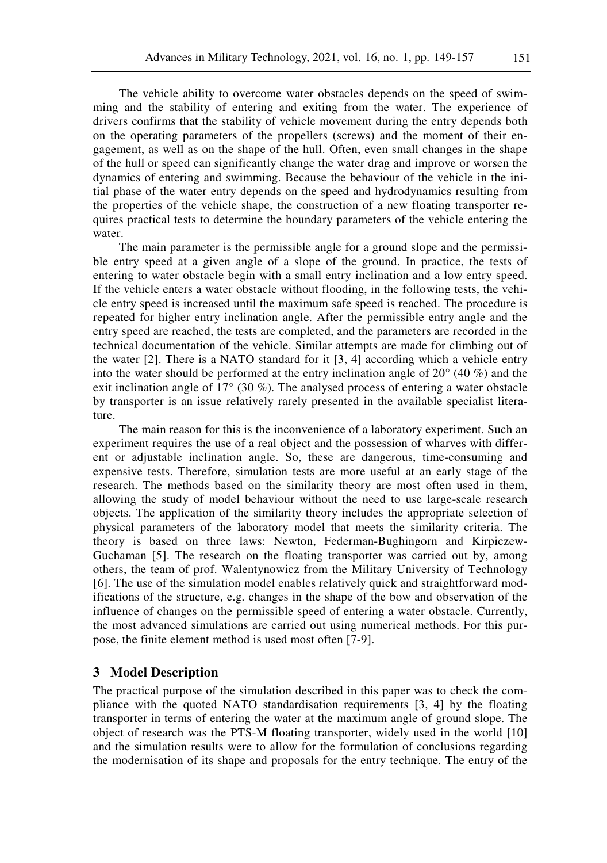The vehicle ability to overcome water obstacles depends on the speed of swimming and the stability of entering and exiting from the water. The experience of drivers confirms that the stability of vehicle movement during the entry depends both on the operating parameters of the propellers (screws) and the moment of their engagement, as well as on the shape of the hull. Often, even small changes in the shape of the hull or speed can significantly change the water drag and improve or worsen the dynamics of entering and swimming. Because the behaviour of the vehicle in the initial phase of the water entry depends on the speed and hydrodynamics resulting from the properties of the vehicle shape, the construction of a new floating transporter requires practical tests to determine the boundary parameters of the vehicle entering the water.

The main parameter is the permissible angle for a ground slope and the permissible entry speed at a given angle of a slope of the ground. In practice, the tests of entering to water obstacle begin with a small entry inclination and a low entry speed. If the vehicle enters a water obstacle without flooding, in the following tests, the vehicle entry speed is increased until the maximum safe speed is reached. The procedure is repeated for higher entry inclination angle. After the permissible entry angle and the entry speed are reached, the tests are completed, and the parameters are recorded in the technical documentation of the vehicle. Similar attempts are made for climbing out of the water  $[2]$ . There is a NATO standard for it  $[3, 4]$  according which a vehicle entry into the water should be performed at the entry inclination angle of 20° (40 %) and the exit inclination angle of  $17^{\circ}$  (30 %). The analysed process of entering a water obstacle by transporter is an issue relatively rarely presented in the available specialist literature.

The main reason for this is the inconvenience of a laboratory experiment. Such an experiment requires the use of a real object and the possession of wharves with different or adjustable inclination angle. So, these are dangerous, time-consuming and expensive tests. Therefore, simulation tests are more useful at an early stage of the research. The methods based on the similarity theory are most often used in them, allowing the study of model behaviour without the need to use large-scale research objects. The application of the similarity theory includes the appropriate selection of physical parameters of the laboratory model that meets the similarity criteria. The theory is based on three laws: Newton, Federman-Bughingorn and Kirpiczew-Guchaman [5]. The research on the floating transporter was carried out by, among others, the team of prof. Walentynowicz from the Military University of Technology [6]. The use of the simulation model enables relatively quick and straightforward modifications of the structure, e.g. changes in the shape of the bow and observation of the influence of changes on the permissible speed of entering a water obstacle. Currently, the most advanced simulations are carried out using numerical methods. For this purpose, the finite element method is used most often [7-9].

#### **3 Model Description**

The practical purpose of the simulation described in this paper was to check the compliance with the quoted NATO standardisation requirements [3, 4] by the floating transporter in terms of entering the water at the maximum angle of ground slope. The object of research was the PTS-M floating transporter, widely used in the world [10] and the simulation results were to allow for the formulation of conclusions regarding the modernisation of its shape and proposals for the entry technique. The entry of the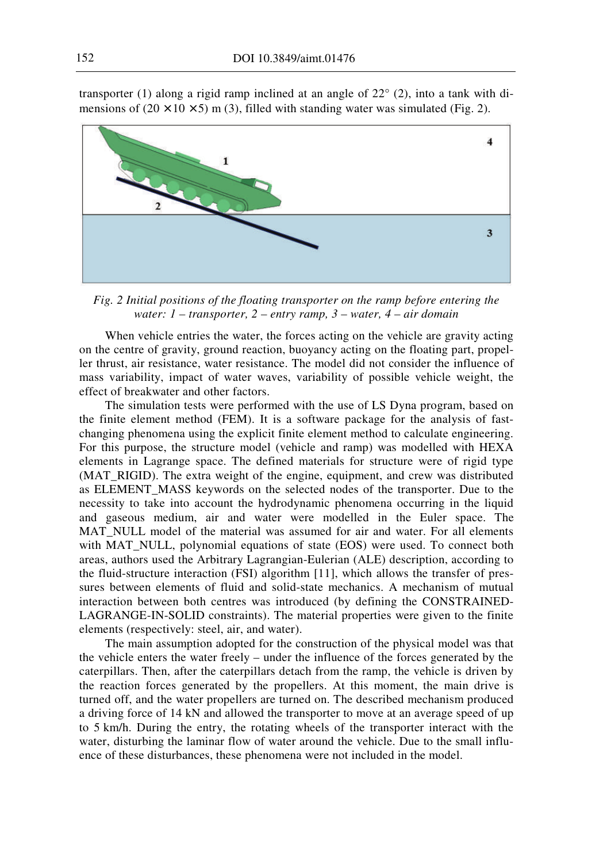

transporter (1) along a rigid ramp inclined at an angle of  $22^{\circ}$  (2), into a tank with dimensions of  $(20 \times 10 \times 5)$  m (3), filled with standing water was simulated (Fig. 2).

*Fig. 2 Initial positions of the floating transporter on the ramp before entering the water: 1 – transporter, 2 – entry ramp, 3 – water, 4 – air domain* 

When vehicle entries the water, the forces acting on the vehicle are gravity acting on the centre of gravity, ground reaction, buoyancy acting on the floating part, propeller thrust, air resistance, water resistance. The model did not consider the influence of mass variability, impact of water waves, variability of possible vehicle weight, the effect of breakwater and other factors.

The simulation tests were performed with the use of LS Dyna program, based on the finite element method (FEM). It is a software package for the analysis of fastchanging phenomena using the explicit finite element method to calculate engineering. For this purpose, the structure model (vehicle and ramp) was modelled with HEXA elements in Lagrange space. The defined materials for structure were of rigid type (MAT\_RIGID). The extra weight of the engine, equipment, and crew was distributed as ELEMENT\_MASS keywords on the selected nodes of the transporter. Due to the necessity to take into account the hydrodynamic phenomena occurring in the liquid and gaseous medium, air and water were modelled in the Euler space. The MAT\_NULL model of the material was assumed for air and water. For all elements with MAT NULL, polynomial equations of state (EOS) were used. To connect both areas, authors used the Arbitrary Lagrangian-Eulerian (ALE) description, according to the fluid-structure interaction (FSI) algorithm [11], which allows the transfer of pressures between elements of fluid and solid-state mechanics. A mechanism of mutual interaction between both centres was introduced (by defining the CONSTRAINED-LAGRANGE-IN-SOLID constraints). The material properties were given to the finite elements (respectively: steel, air, and water).

The main assumption adopted for the construction of the physical model was that the vehicle enters the water freely – under the influence of the forces generated by the caterpillars. Then, after the caterpillars detach from the ramp, the vehicle is driven by the reaction forces generated by the propellers. At this moment, the main drive is turned off, and the water propellers are turned on. The described mechanism produced a driving force of 14 kN and allowed the transporter to move at an average speed of up to 5 km/h. During the entry, the rotating wheels of the transporter interact with the water, disturbing the laminar flow of water around the vehicle. Due to the small influence of these disturbances, these phenomena were not included in the model.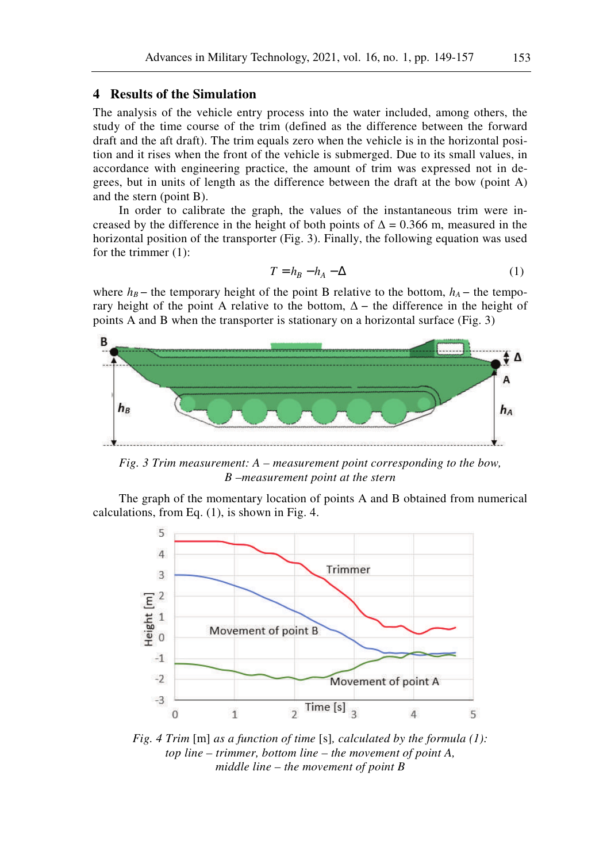#### **4 Results of the Simulation**

The analysis of the vehicle entry process into the water included, among others, the study of the time course of the trim (defined as the difference between the forward draft and the aft draft). The trim equals zero when the vehicle is in the horizontal position and it rises when the front of the vehicle is submerged. Due to its small values, in accordance with engineering practice, the amount of trim was expressed not in degrees, but in units of length as the difference between the draft at the bow (point A) and the stern (point B).

In order to calibrate the graph, the values of the instantaneous trim were increased by the difference in the height of both points of  $\Delta = 0.366$  m, measured in the horizontal position of the transporter (Fig. 3). Finally, the following equation was used for the trimmer (1):

$$
T = h_B - h_A - \Delta \tag{1}
$$

where  $h_B$  − the temporary height of the point B relative to the bottom,  $h_A$  − the temporary height of the point A relative to the bottom,  $\Delta$  – the difference in the height of points A and B when the transporter is stationary on a horizontal surface (Fig. 3)



*Fig. 3 Trim measurement: A – measurement point corresponding to the bow, B –measurement point at the stern* 

The graph of the momentary location of points A and B obtained from numerical calculations, from Eq. (1), is shown in Fig. 4.



*Fig. 4 Trim* [m] *as a function of time* [s]*, calculated by the formula (1): top line – trimmer, bottom line – the movement of point A, middle line – the movement of point B*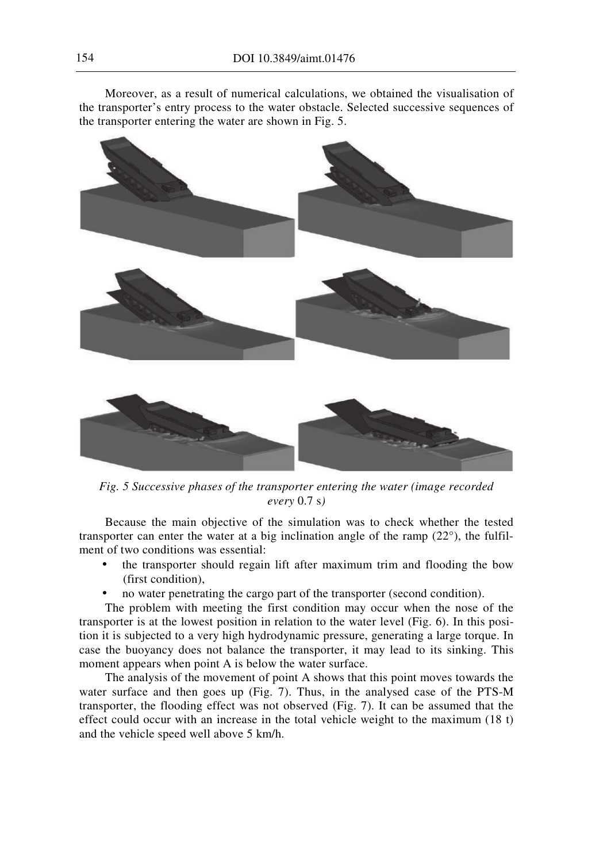Moreover, as a result of numerical calculations, we obtained the visualisation of the transporter's entry process to the water obstacle. Selected successive sequences of the transporter entering the water are shown in Fig. 5.



*Fig. 5 Successive phases of the transporter entering the water (image recorded every* 0.7 s*)* 

Because the main objective of the simulation was to check whether the tested transporter can enter the water at a big inclination angle of the ramp (22°), the fulfilment of two conditions was essential:

- the transporter should regain lift after maximum trim and flooding the bow (first condition),
- no water penetrating the cargo part of the transporter (second condition).

The problem with meeting the first condition may occur when the nose of the transporter is at the lowest position in relation to the water level (Fig. 6). In this position it is subjected to a very high hydrodynamic pressure, generating a large torque. In case the buoyancy does not balance the transporter, it may lead to its sinking. This moment appears when point A is below the water surface.

The analysis of the movement of point A shows that this point moves towards the water surface and then goes up (Fig. 7). Thus, in the analysed case of the PTS-M transporter, the flooding effect was not observed (Fig. 7). It can be assumed that the effect could occur with an increase in the total vehicle weight to the maximum (18 t) and the vehicle speed well above 5 km/h.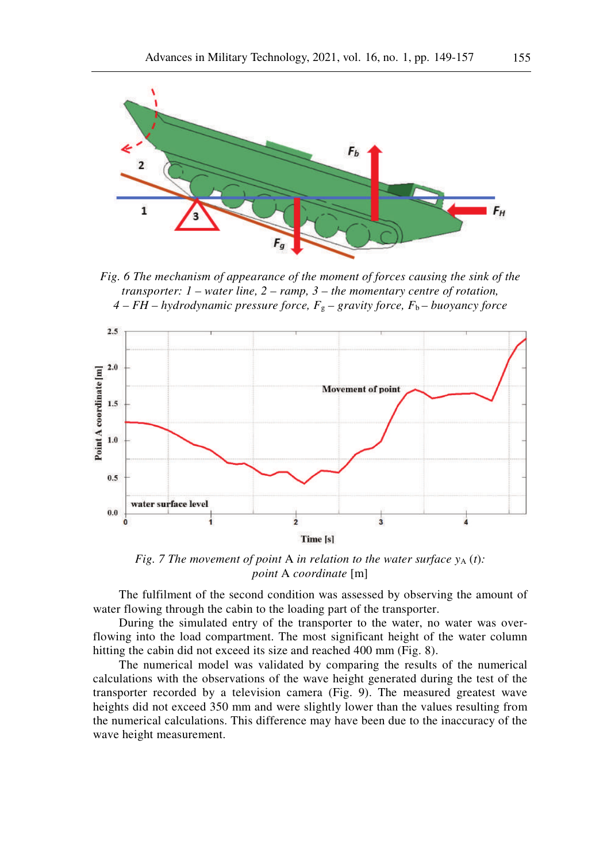

*Fig. 6 The mechanism of appearance of the moment of forces causing the sink of the transporter: 1 – water line, 2 – ramp, 3 – the momentary centre of rotation, 4 – FH – hydrodynamic pressure force, F*g *– gravity force, F*<sup>b</sup> *– buoyancy force* 



*Fig. 7 The movement of point A in relation to the water surface*  $y_A(t)$ *: point* A *coordinate* [m]

The fulfilment of the second condition was assessed by observing the amount of water flowing through the cabin to the loading part of the transporter.

During the simulated entry of the transporter to the water, no water was overflowing into the load compartment. The most significant height of the water column hitting the cabin did not exceed its size and reached 400 mm (Fig. 8).

The numerical model was validated by comparing the results of the numerical calculations with the observations of the wave height generated during the test of the transporter recorded by a television camera (Fig. 9). The measured greatest wave heights did not exceed 350 mm and were slightly lower than the values resulting from the numerical calculations. This difference may have been due to the inaccuracy of the wave height measurement.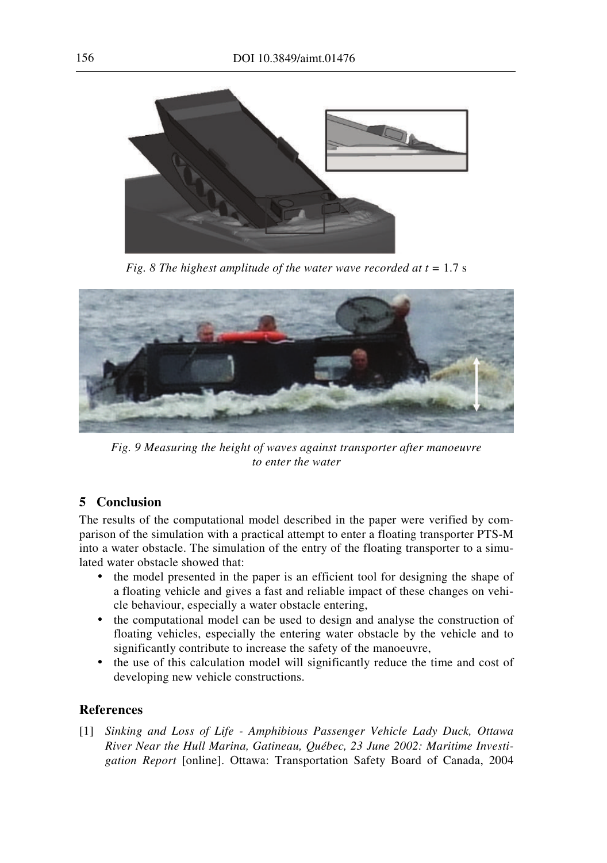

*Fig.* 8 The highest amplitude of the water wave recorded at  $t = 1.7$  s



*Fig. 9 Measuring the height of waves against transporter after manoeuvre to enter the water* 

### **5 Conclusion**

The results of the computational model described in the paper were verified by comparison of the simulation with a practical attempt to enter a floating transporter PTS-M into a water obstacle. The simulation of the entry of the floating transporter to a simulated water obstacle showed that:

- the model presented in the paper is an efficient tool for designing the shape of a floating vehicle and gives a fast and reliable impact of these changes on vehicle behaviour, especially a water obstacle entering,
- the computational model can be used to design and analyse the construction of floating vehicles, especially the entering water obstacle by the vehicle and to significantly contribute to increase the safety of the manoeuvre,
- the use of this calculation model will significantly reduce the time and cost of developing new vehicle constructions.

### **References**

[1] *Sinking and Loss of Life - Amphibious Passenger Vehicle Lady Duck, Ottawa River Near the Hull Marina, Gatineau, Québec, 23 June 2002: Maritime Investigation Report* [online]. Ottawa: Transportation Safety Board of Canada, 2004